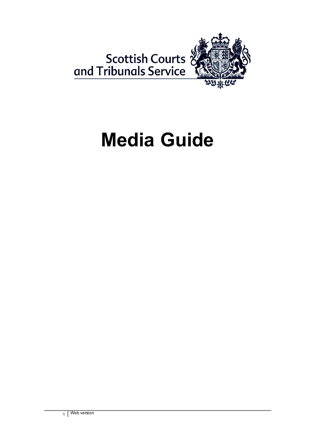

# **Media Guide**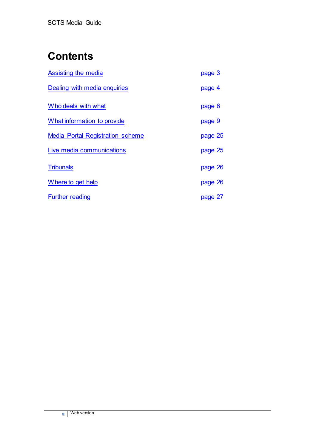# **Contents**

<span id="page-1-0"></span>

| Assisting the media                     | page 3  |
|-----------------------------------------|---------|
| Dealing with media enquiries            | page 4  |
| Who deals with what                     | page 6  |
| What information to provide             | page 9  |
| <b>Media Portal Registration scheme</b> | page 25 |
| Live media communications               | page 25 |
| <b>Tribunals</b>                        | page 26 |
| Where to get help                       | page 26 |
| <b>Further reading</b>                  | page 27 |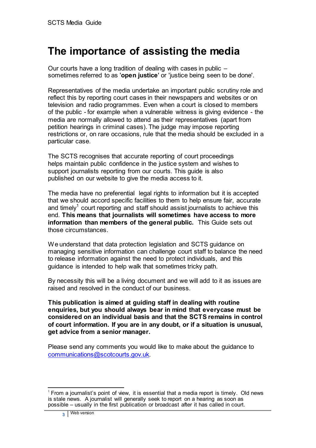### <span id="page-2-0"></span>**The importance of assisting the media**

Our courts have a long tradition of dealing with cases in public – sometimes referred to as '**open justice**' or 'justice being seen to be done'.

Representatives of the media undertake an important public scrutiny role and reflect this by reporting court cases in their newspapers and websites or on television and radio programmes. Even when a court is closed to members of the public - for example when a vulnerable witness is giving evidence - the media are normally allowed to attend as their representatives (apart from petition hearings in criminal cases). The judge may impose reporting restrictions or, on rare occasions, rule that the media should be excluded in a particular case.

The SCTS recognises that accurate reporting of court proceedings helps maintain public confidence in the justice system and wishes to support journalists reporting from our courts. This guide is also published on our website to give the media access to it.

The media have no preferential legal rights to information but it is accepted that we should accord specific facilities to them to help ensure fair, accurate and timely<sup>1</sup> court reporting and staff should assist journalists to achieve this end. **This means that journalists will sometimes have access to more information than members of the general public.** This Guide sets out those circumstances.

We understand that data protection legislation and SCTS guidance on managing sensitive information can challenge court staff to balance the need to release information against the need to protect individuals, and this guidance is intended to help walk that sometimes tricky path.

By necessity this will be a living document and we will add to it as issues are raised and resolved in the conduct of our business.

**This publication is aimed at guiding staff in dealing with routine enquiries, but you should always bear in mind that everycase must be considered on an individual basis and that the SCTS remains in control of court information. If you are in any doubt, or if a situation is unusual, get advice from a senior manager.**

Please send any comments you would like to make about the guidance to [communications@scotcourts.gov.uk.](mailto:communications@scotcourts.gov.uk)

From a journalist's point of view, it is essential that a media report is timely. Old news is stale news. A journalist will generally seek to report on a hearing as soon as possible – usually in the first publication or broadcast after it has called in court.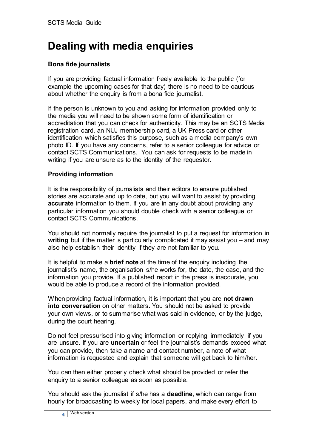# <span id="page-3-0"></span>**Dealing with media enquiries**

#### **Bona fide journalists**

If you are providing factual information freely available to the public (for example the upcoming cases for that day) there is no need to be cautious about whether the enquiry is from a bona fide journalist.

If the person is unknown to you and asking for information provided only to the media you will need to be shown some form of identification or accreditation that you can check for authenticity. This may be an SCTS Media registration card, an NUJ membership card, a UK Press card or other identification which satisfies this purpose, such as a media company's own photo ID. If you have any concerns, refer to a senior colleague for advice or contact SCTS Communications. You can ask for requests to be made in writing if you are unsure as to the identity of the requestor.

#### **Providing information**

It is the responsibility of journalists and their editors to ensure published stories are accurate and up to date, but you will want to assist by providing **accurate** information to them. If you are in any doubt about providing any particular information you should double check with a senior colleague or contact SCTS Communications.

You should not normally require the journalist to put a request for information in **writing** but if the matter is particularly complicated it may assist you – and may also help establish their identity if they are not familiar to you.

It is helpful to make a **brief note** at the time of the enquiry including the journalist's name, the organisation s/he works for, the date, the case, and the information you provide. If a published report in the press is inaccurate, you would be able to produce a record of the information provided.

When providing factual information, it is important that you are **not drawn into conversation** on other matters. You should not be asked to provide your own views, or to summarise what was said in evidence, or by the judge, during the court hearing.

Do not feel pressurised into giving information or replying immediately if you are unsure. If you are **uncertain** or feel the journalist's demands exceed what you can provide, then take a name and contact number, a note of what information is requested and explain that someone will get back to him/her.

You can then either properly check what should be provided or refer the enquiry to a senior colleague as soon as possible.

You should ask the journalist if s/he has a **deadline**, which can range from hourly for broadcasting to weekly for local papers, and make every effort to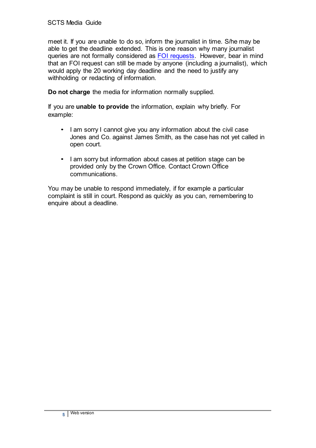meet it. If you are unable to do so, inform the journalist in time. S/he may be able to get the deadline extended. This is one reason why many journalist queries are not formally considered as [FOI requests.](http://www.scotcourts.gov.uk/about-the-scottish-court-service/contact-us/freedom-of-information) However, bear in mind that an FOI request can still be made by anyone (including a journalist), which would apply the 20 working day deadline and the need to justify any withholding or redacting of information.

**Do not charge** the media for information normally supplied.

If you are **unable to provide** the information, explain why briefly. For example:

- I am sorry I cannot give you any information about the civil case Jones and Co. against James Smith, as the case has not yet called in open court.
- I am sorry but information about cases at petition stage can be provided only by the Crown Office. Contact Crown Office communications.

You may be unable to respond immediately, if for example a particular complaint is still in court. Respond as quickly as you can, remembering to enquire about a deadline.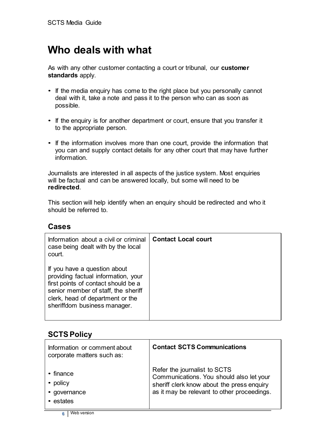### <span id="page-5-0"></span>**Who deals with what**

As with any other customer contacting a court or tribunal, our **customer standards** apply.

- If the media enquiry has come to the right place but you personally cannot deal with it, take a note and pass it to the person who can as soon as possible.
- If the enquiry is for another department or court, ensure that you transfer it to the appropriate person.
- If the information involves more than one court, provide the information that you can and supply contact details for any other court that may have further information.

Journalists are interested in all aspects of the justice system. Most enquiries will be factual and can be answered locally, but some will need to be **redirected**.

This section will help identify when an enquiry should be redirected and who it should be referred to.

#### **Cases**

| Information about a civil or criminal<br>case being dealt with by the local<br>court.                                                                                                                                 | <b>Contact Local court</b> |
|-----------------------------------------------------------------------------------------------------------------------------------------------------------------------------------------------------------------------|----------------------------|
| If you have a question about<br>providing factual information, your<br>first points of contact should be a<br>senior member of staff, the sheriff<br>clerk, head of department or the<br>sheriffdom business manager. |                            |

#### **SCTS Policy**

| Information or comment about<br>corporate matters such as: | <b>Contact SCTS Communications</b>          |
|------------------------------------------------------------|---------------------------------------------|
| $\cdot$ finance                                            | Refer the journalist to SCTS                |
| • policy                                                   | Communications. You should also let your    |
| • governance                                               | sheriff clerk know about the press enquiry  |
| • estates                                                  | as it may be relevant to other proceedings. |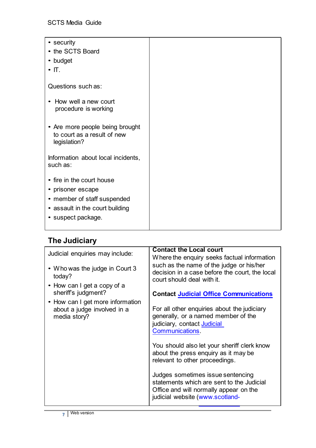| • security                                                |  |
|-----------------------------------------------------------|--|
| • the SCTS Board                                          |  |
| • budget                                                  |  |
| $\cdot$ IT.                                               |  |
|                                                           |  |
| Questions such as:                                        |  |
|                                                           |  |
| How well a new court<br>$\bullet$<br>procedure is working |  |
|                                                           |  |
| • Are more people being brought                           |  |
| to court as a result of new                               |  |
| legislation?                                              |  |
|                                                           |  |
| Information about local incidents,                        |  |
| such as:                                                  |  |
| • fire in the court house                                 |  |
| • prisoner escape                                         |  |
| • member of staff suspended                               |  |
| • assault in the court building                           |  |
| • suspect package.                                        |  |
|                                                           |  |
|                                                           |  |

### **The Judiciary**

| Judicial enquiries may include:                                                 | <b>Contact the Local court</b>                                                                                                                                                            |
|---------------------------------------------------------------------------------|-------------------------------------------------------------------------------------------------------------------------------------------------------------------------------------------|
|                                                                                 | Where the enquiry seeks factual information                                                                                                                                               |
| • Who was the judge in Court 3<br>today?                                        | such as the name of the judge or his/her<br>decision in a case before the court, the local<br>court should deal with it.                                                                  |
| • How can I get a copy of a<br>sheriff's judgment?                              | <b>Contact Judicial Office Communications</b>                                                                                                                                             |
| • How can I get more information<br>about a judge involved in a<br>media story? | For all other enquiries about the judiciary<br>generally, or a named member of the<br>judiciary, contact Judicial<br><b>Communications</b><br>You should also let your sheriff clerk know |
|                                                                                 | about the press enquiry as it may be<br>relevant to other proceedings.                                                                                                                    |
|                                                                                 | Judges sometimes issue sentencing<br>statements which are sent to the Judicial<br>Office and will normally appear on the<br>judicial website (www.scotland-                               |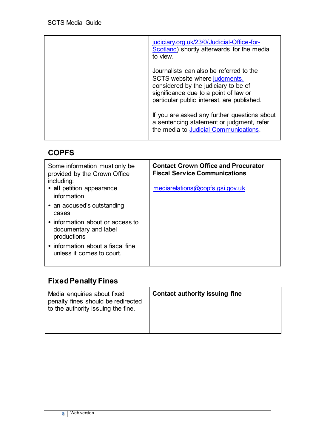| judiciary.org.uk/23/0/Judicial-Office-for-<br>Scotland) shortly afterwards for the media<br>to view.                                                                                                    |
|---------------------------------------------------------------------------------------------------------------------------------------------------------------------------------------------------------|
| Journalists can also be referred to the<br>SCTS website where judgments,<br>considered by the judiciary to be of<br>significance due to a point of law or<br>particular public interest, are published. |
| If you are asked any further questions about<br>a sentencing statement or judgment, refer<br>the media to Judicial Communications.                                                                      |

### **COPFS**

| Some information must only be<br>provided by the Crown Office<br>including:<br>• all petition appearance<br>information | <b>Contact Crown Office and Procurator</b><br><b>Fiscal Service Communications</b><br>mediarelations@copy.s.gsi.gov.uk |
|-------------------------------------------------------------------------------------------------------------------------|------------------------------------------------------------------------------------------------------------------------|
| • an accused's outstanding<br>cases                                                                                     |                                                                                                                        |
| • information about or access to<br>documentary and label<br>productions                                                |                                                                                                                        |
| • information about a fiscal fine<br>unless it comes to court.                                                          |                                                                                                                        |

### **Fixed Penalty Fines**

| Media enquiries about fixed<br>penalty fines should be redirected<br>to the authority issuing the fine. | <b>Contact authority issuing fine</b> |
|---------------------------------------------------------------------------------------------------------|---------------------------------------|
|---------------------------------------------------------------------------------------------------------|---------------------------------------|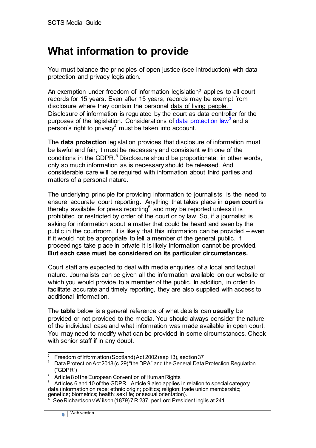### <span id="page-8-0"></span>**What information to provide**

You must balance the principles of open justice (see introduction) with data protection and privacy legislation.

An exemption under freedom of information legislation<sup>2</sup> applies to all court records for 15 years. Even after 15 years, records may be exempt from disclosure where they contain the personal data of living people. Disclosure of information is regulated by the court as data controller for the purposes of the legislation. Considerations of data protection law<sup>3</sup> and a person's right to privacy<sup>4</sup> must be taken into account.

The **data protection** legislation provides that disclosure of information must be lawful and fair; it must be necessary and consistent with one of the conditions in the GDPR.<sup>5</sup> Disclosure should be proportionate; in other words, only so much information as is necessary should be released. And considerable care will be required with information about third parties and matters of a personal nature.

The underlying principle for providing information to journalists is the need to ensure accurate court reporting. Anything that takes place in **open court** is thereby available for press reporting $6$  and may be reported unless it is prohibited or restricted by order of the court or by law. So, if a journalist is asking for information about a matter that could be heard and seen by the public in the courtroom, it is likely that this information can be provided – even if it would not be appropriate to tell a member of the general public. If proceedings take place in private it is likely information cannot be provided. **But each case must be considered on its particular circumstances.**

Court staff are expected to deal with media enquiries of a local and factual nature. Journalists can be given all the information available on our website or which you would provide to a member of the public. In addition, in order to facilitate accurate and timely reporting, they are also supplied with access to additional information.

The **table** below is a general reference of what details can **usually** be provided or not provided to the media. You should always consider the nature of the individual case and what information was made available in open court. You may need to modify what can be provided in some circumstances. Check with senior staff if in any doubt.

<sup>&</sup>lt;sup>2</sup> Freedom of Information (Scotland) Act 2002 (asp 13), section 37<br><sup>3</sup> Data Protection Act 2018 (c. 29) "the DRA" and the General Data

Data Protection Act 2018 (c.29) "the DPA" and the General Data Protection Regulation ("GDPR")

<sup>&</sup>lt;sup>4</sup> Article 8 of the European Convention of Human Rights

 $5$  Articles 6 and 10 of the GDPR. Article 9 also applies in relation to special category data (information on race; ethnic origin; politics; religion; trade union membership; genetics; biometrics; health; sex life; or sexual orientation).

See Richardson vW ilson (1879) 7R 237, per Lord President Inglis at 241.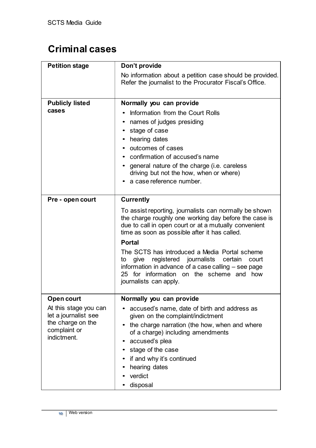### **Criminal cases**

| <b>Petition stage</b>                                                                                           | Don't provide                                                                                                                                                                                                                                                                                                                                                                                                                                                                                         |
|-----------------------------------------------------------------------------------------------------------------|-------------------------------------------------------------------------------------------------------------------------------------------------------------------------------------------------------------------------------------------------------------------------------------------------------------------------------------------------------------------------------------------------------------------------------------------------------------------------------------------------------|
|                                                                                                                 | No information about a petition case should be provided.<br>Refer the journalist to the Procurator Fiscal's Office.                                                                                                                                                                                                                                                                                                                                                                                   |
| <b>Publicly listed</b><br>cases                                                                                 | Normally you can provide<br>Information from the Court Rolls<br>names of judges presiding<br>stage of case                                                                                                                                                                                                                                                                                                                                                                                            |
|                                                                                                                 | hearing dates<br>$\bullet$<br>outcomes of cases<br>confirmation of accused's name<br>• general nature of the charge (i.e. careless<br>driving but not the how, when or where)<br>a case reference number.                                                                                                                                                                                                                                                                                             |
| Pre - open court                                                                                                | <b>Currently</b><br>To assist reporting, journalists can normally be shown<br>the charge roughly one working day before the case is<br>due to call in open court or at a mutually convenient<br>time as soon as possible after it has called.<br><b>Portal</b><br>The SCTS has introduced a Media Portal scheme<br>registered journalists certain<br>give<br>court<br>to<br>information in advance of a case calling – see page<br>25 for information on the scheme and how<br>journalists can apply. |
| Open court<br>At this stage you can<br>let a journalist see<br>the charge on the<br>complaint or<br>indictment. | Normally you can provide<br>accused's name, date of birth and address as<br>given on the complaint/indictment<br>the charge narration (the how, when and where<br>of a charge) including amendments<br>accused's plea<br>stage of the case<br>if and why it's continued<br>hearing dates<br>verdict<br>disposal                                                                                                                                                                                       |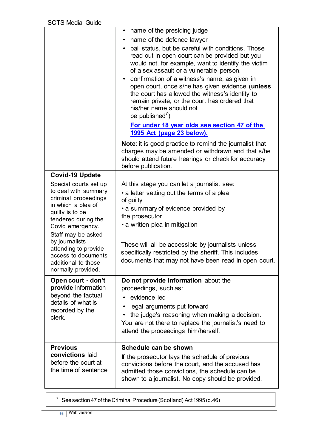|                                                                                                                                                                                 | • name of the presiding judge                                                                                                                                                                                                                                              |
|---------------------------------------------------------------------------------------------------------------------------------------------------------------------------------|----------------------------------------------------------------------------------------------------------------------------------------------------------------------------------------------------------------------------------------------------------------------------|
|                                                                                                                                                                                 | name of the defence lawyer                                                                                                                                                                                                                                                 |
|                                                                                                                                                                                 | bail status, but be careful with conditions. Those<br>read out in open court can be provided but you<br>would not, for example, want to identify the victim<br>of a sex assault or a vulnerable person.                                                                    |
|                                                                                                                                                                                 | • confirmation of a witness's name, as given in<br>open court, once s/he has given evidence (unless<br>the court has allowed the witness's identity to<br>remain private, or the court has ordered that<br>his/her name should not<br>be published')                       |
|                                                                                                                                                                                 | For under 18 year olds see section 47 of the<br>1995 Act (page 23 below).                                                                                                                                                                                                  |
|                                                                                                                                                                                 | <b>Note:</b> it is good practice to remind the journalist that<br>charges may be amended or withdrawn and that s/he<br>should attend future hearings or check for accuracy<br>before publication.                                                                          |
| <b>Covid-19 Update</b>                                                                                                                                                          |                                                                                                                                                                                                                                                                            |
| Special courts set up<br>to deal with summary<br>criminal proceedings<br>in which a plea of<br>guilty is to be<br>tendered during the<br>Covid emergency.<br>Staff may be asked | At this stage you can let a journalist see:<br>• a letter setting out the terms of a plea<br>of guilty<br>• a summary of evidence provided by<br>the prosecutor<br>• a written plea in mitigation                                                                          |
| by journalists<br>attending to provide<br>access to documents<br>additional to those<br>normally provided.                                                                      | These will all be accessible by journalists unless<br>specifically restricted by the sheriff. This includes<br>documents that may not have been read in open court.                                                                                                        |
| Open court - don't<br>provide information<br>beyond the factual<br>details of what is<br>recorded by the<br>clerk.                                                              | Do not provide information about the<br>proceedings, such as:<br>evidence led<br>legal arguments put forward<br>the judge's reasoning when making a decision.<br>$\bullet$<br>You are not there to replace the journalist's need to<br>attend the proceedings him/herself. |
| <b>Previous</b><br>convictions laid<br>before the court at<br>the time of sentence                                                                                              | Schedule can be shown<br>If the prosecutor lays the schedule of previous<br>convictions before the court, and the accused has<br>admitted those convictions, the schedule can be<br>shown to a journalist. No copy should be provided.                                     |

 $\frac{7}{1}$  See section 47 of the Criminal Procedure (Scotland) Act 1995 (c.46)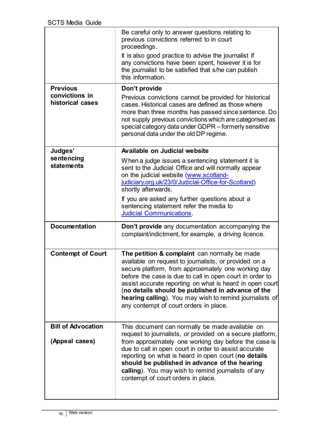|                                             | Be careful only to answer questions relating to<br>previous convictions referred to in court<br>proceedings.                                                                                                                                                                                                                                                                                                                                    |
|---------------------------------------------|-------------------------------------------------------------------------------------------------------------------------------------------------------------------------------------------------------------------------------------------------------------------------------------------------------------------------------------------------------------------------------------------------------------------------------------------------|
|                                             | It is also good practice to advise the journalist if<br>any convictions have been spent, however it is for<br>the journalist to be satisfied that s/he can publish<br>this information.                                                                                                                                                                                                                                                         |
| <b>Previous</b>                             | Don't provide                                                                                                                                                                                                                                                                                                                                                                                                                                   |
| convictions in<br>historical cases          | Previous convictions cannot be provided for historical<br>cases. Historical cases are defined as those where<br>more than three months has passed since sentence. Do<br>not supply previous convictions which are categorised as<br>special category data under GDPR - formerly sensitive<br>personal data under the old DP regime.                                                                                                             |
| Judges'                                     | Available on Judicial website                                                                                                                                                                                                                                                                                                                                                                                                                   |
| sentencing<br>statements                    | When a judge issues a sentencing statement it is<br>sent to the Judicial Office and will normally appear<br>on the judicial website (www.scotland-<br>judiciary.org.uk/23/0/Judicial-Office-for-Scotland)<br>shortly afterwards.                                                                                                                                                                                                                |
|                                             | If you are asked any further questions about a<br>sentencing statement refer the media to<br><b>Judicial Communications</b>                                                                                                                                                                                                                                                                                                                     |
| <b>Documentation</b>                        | Don't provide any documentation accompanying the<br>complaint/indictment, for example, a driving licence.                                                                                                                                                                                                                                                                                                                                       |
| <b>Contempt of Court</b>                    | The petition & complaint can normally be made<br>available on request to journalists, or provided on a<br>secure platform, from approximately one working day<br>before the case is due to call in open court in order to<br>assist accurate reporting on what is heard in open court<br>(no details should be published in advance of the<br>hearing calling). You may wish to remind journalists of<br>any contempt of court orders in place. |
| <b>Bill of Advocation</b><br>(Appeal cases) | This document can normally be made available on<br>request to journalists, or provided on a secure platform,<br>from approximately one working day before the case is<br>due to call in open court in order to assist accurate<br>reporting on what is heard in open court (no details<br>should be published in advance of the hearing<br>calling). You may wish to remind journalists of any<br>contempt of court orders in place.            |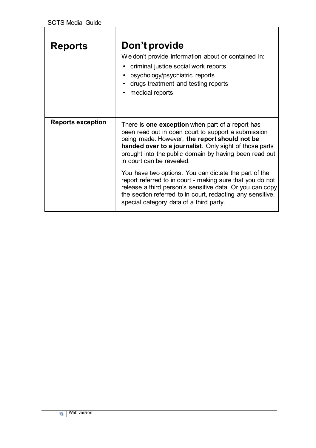| <b>Reports</b>           | Don't provide<br>We don't provide information about or contained in:<br>criminal justice social work reports<br>• psychology/psychiatric reports<br>• drugs treatment and testing reports<br>• medical reports                                                                                                   |
|--------------------------|------------------------------------------------------------------------------------------------------------------------------------------------------------------------------------------------------------------------------------------------------------------------------------------------------------------|
| <b>Reports exception</b> | There is <b>one exception</b> when part of a report has<br>been read out in open court to support a submission<br>being made. However, the report should not be<br>handed over to a journalist. Only sight of those parts<br>brought into the public domain by having been read out<br>in court can be revealed. |
|                          | You have two options. You can dictate the part of the<br>report referred to in court - making sure that you do not<br>release a third person's sensitive data. Or you can copy<br>the section referred to in court, redacting any sensitive,<br>special category data of a third party.                          |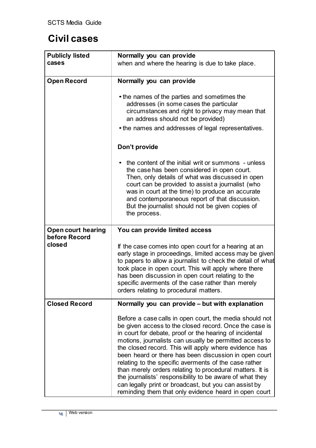### **Civil cases**

| <b>Publicly listed</b>                     | Normally you can provide                                                                                                                                                                                                                                                                                                                                                                                                                                                                                                                                                                                                                                     |
|--------------------------------------------|--------------------------------------------------------------------------------------------------------------------------------------------------------------------------------------------------------------------------------------------------------------------------------------------------------------------------------------------------------------------------------------------------------------------------------------------------------------------------------------------------------------------------------------------------------------------------------------------------------------------------------------------------------------|
| cases                                      | when and where the hearing is due to take place.                                                                                                                                                                                                                                                                                                                                                                                                                                                                                                                                                                                                             |
|                                            |                                                                                                                                                                                                                                                                                                                                                                                                                                                                                                                                                                                                                                                              |
| <b>Open Record</b>                         | Normally you can provide                                                                                                                                                                                                                                                                                                                                                                                                                                                                                                                                                                                                                                     |
|                                            | • the names of the parties and sometimes the<br>addresses (in some cases the particular<br>circumstances and right to privacy may mean that<br>an address should not be provided)                                                                                                                                                                                                                                                                                                                                                                                                                                                                            |
|                                            | • the names and addresses of legal representatives.                                                                                                                                                                                                                                                                                                                                                                                                                                                                                                                                                                                                          |
|                                            | Don't provide                                                                                                                                                                                                                                                                                                                                                                                                                                                                                                                                                                                                                                                |
|                                            | the content of the initial writ or summons - unless<br>the case has been considered in open court.<br>Then, only details of what was discussed in open<br>court can be provided to assist a journalist (who<br>was in court at the time) to produce an accurate<br>and contemporaneous report of that discussion.<br>But the journalist should not be given copies of<br>the process.                                                                                                                                                                                                                                                                        |
| <b>Open court hearing</b><br>before Record | You can provide limited access                                                                                                                                                                                                                                                                                                                                                                                                                                                                                                                                                                                                                               |
| closed                                     | If the case comes into open court for a hearing at an<br>early stage in proceedings, limited access may be given<br>to papers to allow a journalist to check the detail of what<br>took place in open court. This will apply where there<br>has been discussion in open court relating to the<br>specific averments of the case rather than merely<br>orders relating to procedural matters.                                                                                                                                                                                                                                                                 |
| <b>Closed Record</b>                       | Normally you can provide - but with explanation                                                                                                                                                                                                                                                                                                                                                                                                                                                                                                                                                                                                              |
|                                            | Before a case calls in open court, the media should not<br>be given access to the closed record. Once the case is<br>in court for debate, proof or the hearing of incidental<br>motions, journalists can usually be permitted access to<br>the closed record. This will apply where evidence has<br>been heard or there has been discussion in open court<br>relating to the specific averments of the case rather<br>than merely orders relating to procedural matters. It is<br>the journalists' responsibility to be aware of what they<br>can legally print or broadcast, but you can assist by<br>reminding them that only evidence heard in open court |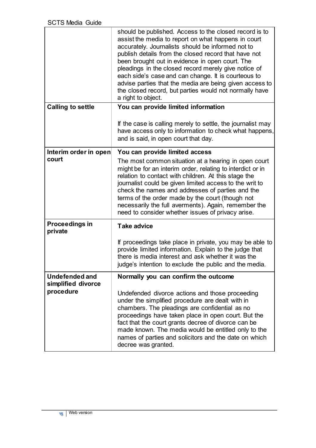|                                             | should be published. Access to the closed record is to<br>assist the media to report on what happens in court<br>accurately. Journalists should be informed not to<br>publish details from the closed record that have not<br>been brought out in evidence in open court. The<br>pleadings in the closed record merely give notice of<br>each side's case and can change. It is courteous to<br>advise parties that the media are being given access to<br>the closed record, but parties would not normally have<br>a right to object. |
|---------------------------------------------|-----------------------------------------------------------------------------------------------------------------------------------------------------------------------------------------------------------------------------------------------------------------------------------------------------------------------------------------------------------------------------------------------------------------------------------------------------------------------------------------------------------------------------------------|
| <b>Calling to settle</b>                    | You can provide limited information                                                                                                                                                                                                                                                                                                                                                                                                                                                                                                     |
|                                             | If the case is calling merely to settle, the journalist may<br>have access only to information to check what happens,<br>and is said, in open court that day.                                                                                                                                                                                                                                                                                                                                                                           |
| Interim order in open                       | You can provide limited access                                                                                                                                                                                                                                                                                                                                                                                                                                                                                                          |
| court                                       | The most common situation at a hearing in open court<br>might be for an interim order, relating to interdict or in<br>relation to contact with children. At this stage the<br>journalist could be given limited access to the writ to<br>check the names and addresses of parties and the<br>terms of the order made by the court (though not<br>necessarily the full averments). Again, remember the<br>need to consider whether issues of privacy arise.                                                                              |
| <b>Proceedings in</b><br>private            | <b>Take advice</b>                                                                                                                                                                                                                                                                                                                                                                                                                                                                                                                      |
|                                             | If proceedings take place in private, you may be able to<br>provide limited information. Explain to the judge that<br>there is media interest and ask whether it was the<br>judge's intention to exclude the public and the media.                                                                                                                                                                                                                                                                                                      |
| <b>Undefended and</b><br>simplified divorce | Normally you can confirm the outcome                                                                                                                                                                                                                                                                                                                                                                                                                                                                                                    |
| procedure                                   | Undefended divorce actions and those proceeding<br>under the simplified procedure are dealt with in<br>chambers. The pleadings are confidential as no<br>proceedings have taken place in open court. But the<br>fact that the court grants decree of divorce can be<br>made known. The media would be entitled only to the<br>names of parties and solicitors and the date on which<br>decree was granted.                                                                                                                              |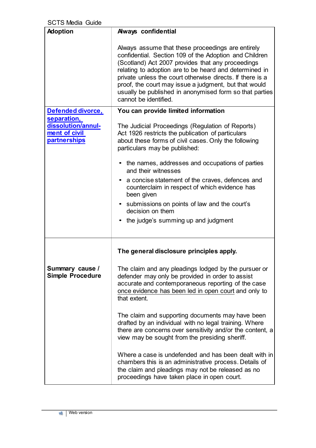| <b>SCTS Media Guide</b>                                                   |                                                                                                                                                                                                                                                                                                                                                                                                                                      |
|---------------------------------------------------------------------------|--------------------------------------------------------------------------------------------------------------------------------------------------------------------------------------------------------------------------------------------------------------------------------------------------------------------------------------------------------------------------------------------------------------------------------------|
| <b>Adoption</b>                                                           | <b>Aways confidential</b>                                                                                                                                                                                                                                                                                                                                                                                                            |
|                                                                           | Always assume that these proceedings are entirely<br>confidential. Section 109 of the Adoption and Children<br>(Scotland) Act 2007 provides that any proceedings<br>relating to adoption are to be heard and determined in<br>private unless the court otherwise directs. If there is a<br>proof, the court may issue a judgment, but that would<br>usually be published in anonymised form so that parties<br>cannot be identified. |
| Defended divorce,                                                         | You can provide limited information                                                                                                                                                                                                                                                                                                                                                                                                  |
| separation,<br>dissolution/annul-<br>ment of civil<br><b>partnerships</b> | The Judicial Proceedings (Regulation of Reports)<br>Act 1926 restricts the publication of particulars<br>about these forms of civil cases. Only the following<br>particulars may be published:                                                                                                                                                                                                                                       |
|                                                                           | • the names, addresses and occupations of parties<br>and their witnesses                                                                                                                                                                                                                                                                                                                                                             |
|                                                                           | a concise statement of the craves, defences and<br>٠<br>counterclaim in respect of which evidence has<br>been given                                                                                                                                                                                                                                                                                                                  |
|                                                                           | • submissions on points of law and the court's<br>decision on them                                                                                                                                                                                                                                                                                                                                                                   |
|                                                                           | • the judge's summing up and judgment                                                                                                                                                                                                                                                                                                                                                                                                |
|                                                                           | The general disclosure principles apply.                                                                                                                                                                                                                                                                                                                                                                                             |
| Summary cause /<br><b>Simple Procedure</b>                                | The claim and any pleadings lodged by the pursuer or<br>defender may only be provided in order to assist<br>accurate and contemporaneous reporting of the case<br>once evidence has been led in open court and only to<br>that extent.                                                                                                                                                                                               |
|                                                                           | The claim and supporting documents may have been<br>drafted by an individual with no legal training. Where<br>there are concerns over sensitivity and/or the content, a<br>view may be sought from the presiding sheriff.                                                                                                                                                                                                            |
|                                                                           | Where a case is undefended and has been dealt with in<br>chambers this is an administrative process. Details of<br>the claim and pleadings may not be released as no<br>proceedings have taken place in open court.                                                                                                                                                                                                                  |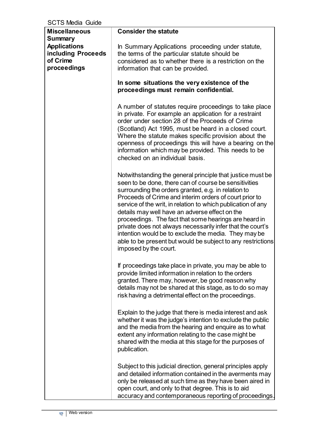#### SCTS Media Guide

| <b>Miscellaneous</b><br><b>Summary</b>                               | <b>Consider the statute</b>                                                                                                                                                                                                                                                                                                                                                                                                                                                                                                                                                                                                   |
|----------------------------------------------------------------------|-------------------------------------------------------------------------------------------------------------------------------------------------------------------------------------------------------------------------------------------------------------------------------------------------------------------------------------------------------------------------------------------------------------------------------------------------------------------------------------------------------------------------------------------------------------------------------------------------------------------------------|
| <b>Applications</b><br>including Proceeds<br>of Crime<br>proceedings | In Summary Applications proceeding under statute,<br>the terms of the particular statute should be<br>considered as to whether there is a restriction on the<br>information that can be provided.                                                                                                                                                                                                                                                                                                                                                                                                                             |
|                                                                      | In some situations the very existence of the<br>proceedings must remain confidential.                                                                                                                                                                                                                                                                                                                                                                                                                                                                                                                                         |
|                                                                      | A number of statutes require proceedings to take place<br>in private. For example an application for a restraint<br>order under section 28 of the Proceeds of Crime<br>(Scotland) Act 1995, must be heard in a closed court.<br>Where the statute makes specific provision about the<br>openness of proceedings this will have a bearing on the<br>information which may be provided. This needs to be<br>checked on an individual basis.                                                                                                                                                                                     |
|                                                                      | Notwithstanding the general principle that justice must be<br>seen to be done, there can of course be sensitivities<br>surrounding the orders granted, e.g. in relation to<br>Proceeds of Crime and interim orders of court prior to<br>service of the writ, in relation to which publication of any<br>details may well have an adverse effect on the<br>proceedings. The fact that some hearings are heard in<br>private does not always necessarily infer that the court's<br>intention would be to exclude the media. They may be<br>able to be present but would be subject to any restrictions<br>imposed by the court. |
|                                                                      | If proceedings take place in private, you may be able to<br>provide limited information in relation to the orders<br>granted. There may, however, be good reason why<br>details may not be shared at this stage, as to do so may<br>risk having a detrimental effect on the proceedings.                                                                                                                                                                                                                                                                                                                                      |
|                                                                      | Explain to the judge that there is media interest and ask<br>whether it was the judge's intention to exclude the public<br>and the media from the hearing and enquire as to what<br>extent any information relating to the case might be<br>shared with the media at this stage for the purposes of<br>publication.                                                                                                                                                                                                                                                                                                           |
|                                                                      | Subject to this judicial direction, general principles apply<br>and detailed information contained in the averments may<br>only be released at such time as they have been aired in<br>open court, and only to that degree. This is to aid<br>accuracy and contemporaneous reporting of proceedings.                                                                                                                                                                                                                                                                                                                          |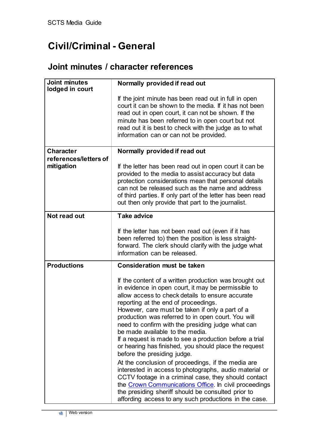### **Civil/Criminal - General**

### **Joint minutes / character references**

| <b>Joint minutes</b><br>lodged in court | Normally provided if read out                                                                                                                                                                                                                                                                                                                                                                                                                                                                                                                                                                                                                                                                                                         |
|-----------------------------------------|---------------------------------------------------------------------------------------------------------------------------------------------------------------------------------------------------------------------------------------------------------------------------------------------------------------------------------------------------------------------------------------------------------------------------------------------------------------------------------------------------------------------------------------------------------------------------------------------------------------------------------------------------------------------------------------------------------------------------------------|
|                                         | If the joint minute has been read out in full in open<br>court it can be shown to the media. If it has not been<br>read out in open court, it can not be shown. If the<br>minute has been referred to in open court but not<br>read out it is best to check with the judge as to what<br>information can or can not be provided.                                                                                                                                                                                                                                                                                                                                                                                                      |
| <b>Character</b>                        | Normally provided if read out                                                                                                                                                                                                                                                                                                                                                                                                                                                                                                                                                                                                                                                                                                         |
| references/letters of<br>mitigation     | If the letter has been read out in open court it can be<br>provided to the media to assist accuracy but data<br>protection considerations mean that personal details<br>can not be released such as the name and address<br>of third parties. If only part of the letter has been read<br>out then only provide that part to the journalist.                                                                                                                                                                                                                                                                                                                                                                                          |
| Not read out                            | <b>Take advice</b>                                                                                                                                                                                                                                                                                                                                                                                                                                                                                                                                                                                                                                                                                                                    |
|                                         | If the letter has not been read out (even if it has<br>been referred to) then the position is less straight-<br>forward. The clerk should clarify with the judge what<br>information can be released.                                                                                                                                                                                                                                                                                                                                                                                                                                                                                                                                 |
| <b>Productions</b>                      | <b>Consideration must be taken</b>                                                                                                                                                                                                                                                                                                                                                                                                                                                                                                                                                                                                                                                                                                    |
|                                         | If the content of a written production was brought out<br>in evidence in open court, it may be permissible to<br>allow access to check details to ensure accurate<br>reporting at the end of proceedings.<br>However, care must be taken if only a part of a<br>production was referred to in open court. You will<br>need to confirm with the presiding judge what can<br>be made available to the media.<br>If a request is made to see a production before a trial<br>or hearing has finished, you should place the request<br>before the presiding judge.<br>At the conclusion of proceedings, if the media are<br>interested in access to photographs, audio material or<br>CCTV footage in a criminal case, they should contact |
|                                         | the Crown Communications Office. In civil proceedings<br>the presiding sheriff should be consulted prior to<br>affording access to any such productions in the case.                                                                                                                                                                                                                                                                                                                                                                                                                                                                                                                                                                  |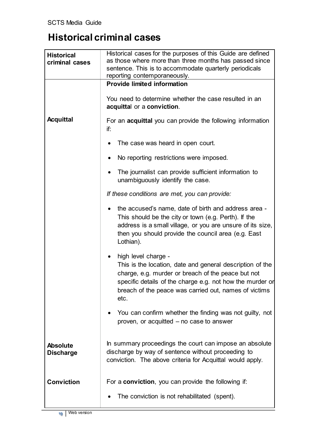### **Historical criminal cases**

| <b>Historical</b><br>criminal cases | Historical cases for the purposes of this Guide are defined<br>as those where more than three months has passed since<br>sentence. This is to accommodate quarterly periodicals<br>reporting contemporaneously.                                                      |
|-------------------------------------|----------------------------------------------------------------------------------------------------------------------------------------------------------------------------------------------------------------------------------------------------------------------|
|                                     | <b>Provide limited information</b>                                                                                                                                                                                                                                   |
|                                     | You need to determine whether the case resulted in an<br>acquittal or a conviction.                                                                                                                                                                                  |
| <b>Acquittal</b>                    | For an <b>acquittal</b> you can provide the following information<br>if:                                                                                                                                                                                             |
|                                     | The case was heard in open court.                                                                                                                                                                                                                                    |
|                                     | No reporting restrictions were imposed.                                                                                                                                                                                                                              |
|                                     | The journalist can provide sufficient information to<br>unambiguously identify the case.                                                                                                                                                                             |
|                                     | If these conditions are met, you can provide:                                                                                                                                                                                                                        |
|                                     | the accused's name, date of birth and address area -<br>This should be the city or town (e.g. Perth). If the<br>address is a small village, or you are unsure of its size,<br>then you should provide the council area (e.g. East<br>Lothian).                       |
|                                     | high level charge -<br>This is the location, date and general description of the<br>charge, e.g. murder or breach of the peace but not<br>specific details of the charge e.g. not how the murder or<br>breach of the peace was carried out, names of victims<br>etc. |
|                                     | You can confirm whether the finding was not guilty, not<br>proven, or acquitted - no case to answer                                                                                                                                                                  |
| <b>Absolute</b><br><b>Discharge</b> | In summary proceedings the court can impose an absolute<br>discharge by way of sentence without proceeding to<br>conviction. The above criteria for Acquittal would apply.                                                                                           |
| <b>Conviction</b>                   | For a <b>conviction</b> , you can provide the following if:                                                                                                                                                                                                          |
|                                     | The conviction is not rehabilitated (spent).                                                                                                                                                                                                                         |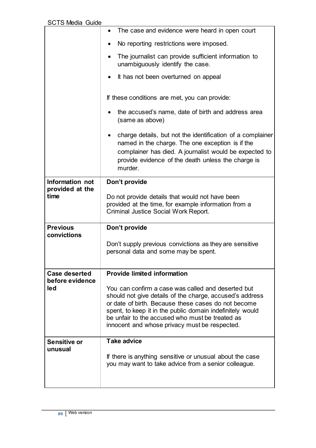|                         | The case and evidence were heard in open court<br>$\bullet$                                                                                                                                                                                                                                                                            |
|-------------------------|----------------------------------------------------------------------------------------------------------------------------------------------------------------------------------------------------------------------------------------------------------------------------------------------------------------------------------------|
|                         | No reporting restrictions were imposed.                                                                                                                                                                                                                                                                                                |
|                         | The journalist can provide sufficient information to<br>unambiguously identify the case.                                                                                                                                                                                                                                               |
|                         | It has not been overturned on appeal                                                                                                                                                                                                                                                                                                   |
|                         | If these conditions are met, you can provide:                                                                                                                                                                                                                                                                                          |
|                         | the accused's name, date of birth and address area<br>(same as above)                                                                                                                                                                                                                                                                  |
|                         | charge details, but not the identification of a complainer<br>named in the charge. The one exception is if the<br>complainer has died. A journalist would be expected to<br>provide evidence of the death unless the charge is<br>murder.                                                                                              |
| Information not         | Don't provide                                                                                                                                                                                                                                                                                                                          |
| provided at the<br>time | Do not provide details that would not have been<br>provided at the time, for example information from a<br><b>Criminal Justice Social Work Report.</b>                                                                                                                                                                                 |
| <b>Previous</b>         | Don't provide                                                                                                                                                                                                                                                                                                                          |
| convictions             | Don't supply previous convictions as they are sensitive<br>personal data and some may be spent.                                                                                                                                                                                                                                        |
| Case deserted           | <b>Provide limited information</b>                                                                                                                                                                                                                                                                                                     |
| before evidence<br>led. | You can confirm a case was called and deserted but<br>should not give details of the charge, accused's address<br>or date of birth. Because these cases do not become<br>spent, to keep it in the public domain indefinitely would<br>be unfair to the accused who must be treated as<br>innocent and whose privacy must be respected. |
| <b>Sensitive or</b>     | <b>Take advice</b>                                                                                                                                                                                                                                                                                                                     |
| unusual                 | If there is anything sensitive or unusual about the case<br>you may want to take advice from a senior colleague.                                                                                                                                                                                                                       |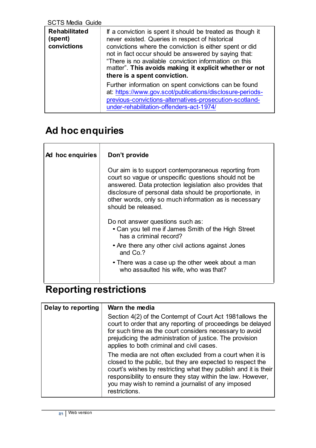| <b>Rehabilitated</b><br>(spent)<br>convictions | If a conviction is spent it should be treated as though it<br>never existed. Queries in respect of historical<br>convictions where the conviction is either spent or did<br>not in fact occur should be answered by saying that:<br>"There is no available conviction information on this<br>matter". This avoids making it explicit whether or not<br>there is a spent conviction. |
|------------------------------------------------|-------------------------------------------------------------------------------------------------------------------------------------------------------------------------------------------------------------------------------------------------------------------------------------------------------------------------------------------------------------------------------------|
|                                                | Further information on spent convictions can be found<br>at: https://www.gov.scot/publications/disclosure-periods-<br>previous-convictions-alternatives-prosecution-scotland-<br>under-rehabilitation-offenders-act-1974/                                                                                                                                                           |

# **Ad hoc enquiries**

| Ad hoc enquiries | Don't provide                                                                                                                                                                                                                                                                                                       |
|------------------|---------------------------------------------------------------------------------------------------------------------------------------------------------------------------------------------------------------------------------------------------------------------------------------------------------------------|
|                  | Our aim is to support contemporaneous reporting from<br>court so vague or unspecific questions should not be<br>answered. Data protection legislation also provides that<br>disclosure of personal data should be proportionate, in<br>other words, only so much information as is necessary<br>should be released. |
|                  | Do not answer questions such as:<br>• Can you tell me if James Smith of the High Street<br>has a criminal record?                                                                                                                                                                                                   |
|                  | • Are there any other civil actions against Jones<br>and Co.?                                                                                                                                                                                                                                                       |
|                  | • There was a case up the other week about a man<br>who assaulted his wife, who was that?                                                                                                                                                                                                                           |

### **Reporting restrictions**

| Delay to reporting | Warn the media                                                                                                                                                                                                                                                                                                                  |
|--------------------|---------------------------------------------------------------------------------------------------------------------------------------------------------------------------------------------------------------------------------------------------------------------------------------------------------------------------------|
|                    | Section 4(2) of the Contempt of Court Act 1981 allows the<br>court to order that any reporting of proceedings be delayed<br>for such time as the court considers necessary to avoid<br>prejudicing the administration of justice. The provision<br>applies to both criminal and civil cases.                                    |
|                    | The media are not often excluded from a court when it is<br>closed to the public, but they are expected to respect the<br>court's wishes by restricting what they publish and it is their<br>responsibility to ensure they stay within the law. However,<br>you may wish to remind a journalist of any imposed<br>restrictions. |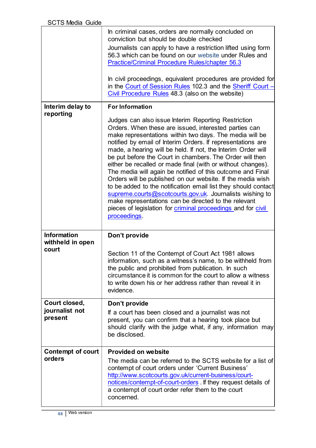|                                        | In criminal cases, orders are normally concluded on<br>conviction but should be double checked<br>Journalists can apply to have a restriction lifted using form<br>56.3 which can be found on our website under Rules and<br><b>Practice/Criminal Procedure Rules/chapter 56.3</b><br>In civil proceedings, equivalent procedures are provided for<br>in the Court of Session Rules 102.3 and the Sheriff Court -<br>Civil Procedure Rules 48.3 (also on the website)                                                                                                                                                                                                                                                                                                                                                                             |
|----------------------------------------|---------------------------------------------------------------------------------------------------------------------------------------------------------------------------------------------------------------------------------------------------------------------------------------------------------------------------------------------------------------------------------------------------------------------------------------------------------------------------------------------------------------------------------------------------------------------------------------------------------------------------------------------------------------------------------------------------------------------------------------------------------------------------------------------------------------------------------------------------|
| Interim delay to<br>reporting          | <b>For Information</b>                                                                                                                                                                                                                                                                                                                                                                                                                                                                                                                                                                                                                                                                                                                                                                                                                            |
|                                        | Judges can also issue Interim Reporting Restriction<br>Orders. When these are issued, interested parties can<br>make representations within two days. The media will be<br>notified by email of Interim Orders. If representations are<br>made, a hearing will be held. If not, the Interim Order will<br>be put before the Court in chambers. The Order will then<br>either be recalled or made final (with or without changes).<br>The media will again be notified of this outcome and Final<br>Orders will be published on our website. If the media wish<br>to be added to the notification email list they should contact<br>supreme.courts@scotcourts.gov.uk. Journalists wishing to<br>make representations can be directed to the relevant<br>pieces of legislation for <i>criminal proceedings</i> and for <i>civil</i><br>proceedings. |
| <b>Information</b><br>withheld in open | Don't provide                                                                                                                                                                                                                                                                                                                                                                                                                                                                                                                                                                                                                                                                                                                                                                                                                                     |
| court                                  | Section 11 of the Contempt of Court Act 1981 allows<br>information, such as a witness's name, to be withheld from<br>the public and prohibited from publication. In such<br>circumstance it is common for the court to allow a witness<br>to write down his or her address rather than reveal it in<br>evidence.                                                                                                                                                                                                                                                                                                                                                                                                                                                                                                                                  |
| Court closed,                          | Don't provide                                                                                                                                                                                                                                                                                                                                                                                                                                                                                                                                                                                                                                                                                                                                                                                                                                     |
| journalist not<br>present              | If a court has been closed and a journalist was not<br>present, you can confirm that a hearing took place but<br>should clarify with the judge what, if any, information may<br>be disclosed.                                                                                                                                                                                                                                                                                                                                                                                                                                                                                                                                                                                                                                                     |
| <b>Contempt of court</b>               | <b>Provided on website</b>                                                                                                                                                                                                                                                                                                                                                                                                                                                                                                                                                                                                                                                                                                                                                                                                                        |
| orders                                 | The media can be referred to the SCTS website for a list of<br>contempt of court orders under 'Current Business'<br>http://www.scotcourts.gov.uk/current-business/court-<br>notices/contempt-of-court-orders . If they request details of<br>a contempt of court order refer them to the court<br>concerned.                                                                                                                                                                                                                                                                                                                                                                                                                                                                                                                                      |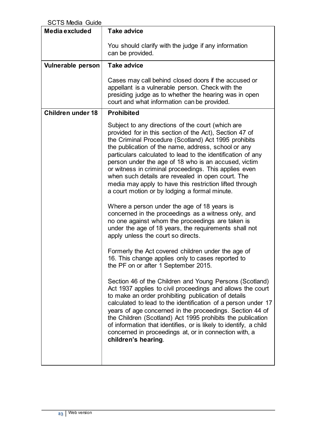<span id="page-22-0"></span>

| <b>SCTS Media Guide</b>  |                                                                                                                                                                                                                                                                                                                                                                                                                                                                                                                                                                                                                                                                                                                                                                                                                                                                                                                                                                                                                                                                                                                                                                                                                                                                                                                                                                                                                                                                                                                          |
|--------------------------|--------------------------------------------------------------------------------------------------------------------------------------------------------------------------------------------------------------------------------------------------------------------------------------------------------------------------------------------------------------------------------------------------------------------------------------------------------------------------------------------------------------------------------------------------------------------------------------------------------------------------------------------------------------------------------------------------------------------------------------------------------------------------------------------------------------------------------------------------------------------------------------------------------------------------------------------------------------------------------------------------------------------------------------------------------------------------------------------------------------------------------------------------------------------------------------------------------------------------------------------------------------------------------------------------------------------------------------------------------------------------------------------------------------------------------------------------------------------------------------------------------------------------|
| Media excluded           | <b>Take advice</b>                                                                                                                                                                                                                                                                                                                                                                                                                                                                                                                                                                                                                                                                                                                                                                                                                                                                                                                                                                                                                                                                                                                                                                                                                                                                                                                                                                                                                                                                                                       |
|                          | You should clarify with the judge if any information<br>can be provided.                                                                                                                                                                                                                                                                                                                                                                                                                                                                                                                                                                                                                                                                                                                                                                                                                                                                                                                                                                                                                                                                                                                                                                                                                                                                                                                                                                                                                                                 |
| Vulnerable person        | <b>Take advice</b>                                                                                                                                                                                                                                                                                                                                                                                                                                                                                                                                                                                                                                                                                                                                                                                                                                                                                                                                                                                                                                                                                                                                                                                                                                                                                                                                                                                                                                                                                                       |
|                          | Cases may call behind closed doors if the accused or<br>appellant is a vulnerable person. Check with the<br>presiding judge as to whether the hearing was in open<br>court and what information can be provided.                                                                                                                                                                                                                                                                                                                                                                                                                                                                                                                                                                                                                                                                                                                                                                                                                                                                                                                                                                                                                                                                                                                                                                                                                                                                                                         |
| <b>Children under 18</b> | <b>Prohibited</b>                                                                                                                                                                                                                                                                                                                                                                                                                                                                                                                                                                                                                                                                                                                                                                                                                                                                                                                                                                                                                                                                                                                                                                                                                                                                                                                                                                                                                                                                                                        |
|                          | Subject to any directions of the court (which are<br>provided for in this section of the Act), Section 47 of<br>the Criminal Procedure (Scotland) Act 1995 prohibits<br>the publication of the name, address, school or any<br>particulars calculated to lead to the identification of any<br>person under the age of 18 who is an accused, victim<br>or witness in criminal proceedings. This applies even<br>when such details are revealed in open court. The<br>media may apply to have this restriction lifted through<br>a court motion or by lodging a formal minute.<br>Where a person under the age of 18 years is<br>concerned in the proceedings as a witness only, and<br>no one against whom the proceedings are taken is<br>under the age of 18 years, the requirements shall not<br>apply unless the court so directs.<br>Formerly the Act covered children under the age of<br>16. This change applies only to cases reported to<br>the PF on or after 1 September 2015.<br>Section 46 of the Children and Young Persons (Scotland)<br>Act 1937 applies to civil proceedings and allows the court<br>to make an order prohibiting publication of details<br>calculated to lead to the identification of a person under 17<br>years of age concerned in the proceedings. Section 44 of<br>the Children (Scotland) Act 1995 prohibits the publication<br>of information that identifies, or is likely to identify, a child<br>concerned in proceedings at, or in connection with, a<br>children's hearing. |
|                          |                                                                                                                                                                                                                                                                                                                                                                                                                                                                                                                                                                                                                                                                                                                                                                                                                                                                                                                                                                                                                                                                                                                                                                                                                                                                                                                                                                                                                                                                                                                          |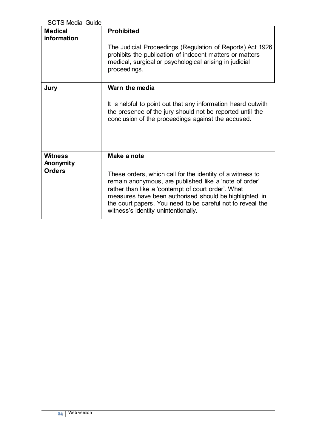| <b>SCTS Media Guide</b>                      |                                                                                                                                                                                                                                                                                                                                                         |
|----------------------------------------------|---------------------------------------------------------------------------------------------------------------------------------------------------------------------------------------------------------------------------------------------------------------------------------------------------------------------------------------------------------|
| <b>Medical</b><br>information                | <b>Prohibited</b><br>The Judicial Proceedings (Regulation of Reports) Act 1926<br>prohibits the publication of indecent matters or matters<br>medical, surgical or psychological arising in judicial<br>proceedings.                                                                                                                                    |
| Jury                                         | Warn the media<br>It is helpful to point out that any information heard outwith<br>the presence of the jury should not be reported until the<br>conclusion of the proceedings against the accused.                                                                                                                                                      |
| <b>Witness</b><br>Anonymity<br><b>Orders</b> | Make a note<br>These orders, which call for the identity of a witness to<br>remain anonymous, are published like a 'note of order'<br>rather than like a 'contempt of court order'. What<br>measures have been authorised should be highlighted in<br>the court papers. You need to be careful not to reveal the<br>witness's identity unintentionally. |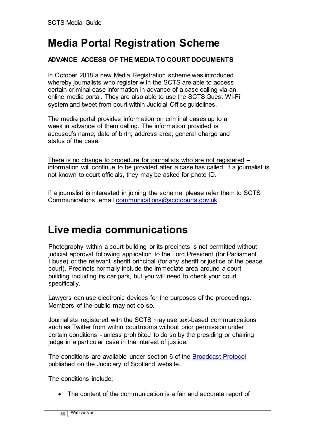### <span id="page-24-0"></span>**Media Portal Registration Scheme**

#### **ADVANCE ACCESS OF THE MEDIA TO COURT DOCUMENTS**

In October 2018 a new Media Registration scheme was introduced whereby journalists who register with the SCTS are able to access certain criminal case information in advance of a case calling via an online media portal. They are also able to use the SCTS Guest Wi-Fi system and tweet from court within Judicial Office guidelines.

The media portal provides information on criminal cases up to a week in advance of them calling. The information provided is accused's name; date of birth; address area; general charge and status of the case.

There is no change to procedure for journalists who are not registered – information will continue to be provided after a case has called. If a journalist is not known to court officials, they may be asked for photo ID.

If a journalist is interested in joining the scheme, please refer them to SCTS Communications, email [communications@scotcourts.gov.uk](mailto:communications@scotcourts.gov.uk)

### <span id="page-24-1"></span>**Live media communications**

Photography within a court building or its precincts is not permitted without judicial approval following application to the Lord President (for Parliament House) or the relevant sheriff principal (for any sheriff or justice of the peace court). Precincts normally include the immediate area around a court building including its car park, but you will need to check your court specifically.

Lawyers can use electronic devices for the purposes of the proceedings. Members of the public may not do so.

Journalists registered with the SCTS may use text-based communications such as Twitter from within courtrooms without prior permission under certain conditions - unless prohibited to do so by the presiding or chairing judge in a particular case in the interest of justice.

The conditions are available under section 6 of the [Broadcast Protocol](https://www.judiciary.scot/docs/librariesprovider3/judiciarydocuments/broadcast-protocol/final-for-pdf-broadcast-protocol-031120.pdf?sfvrsn=8533eb7_2) published on the Judiciary of Scotland website.

The conditions include:

• The content of the communication is a fair and accurate report of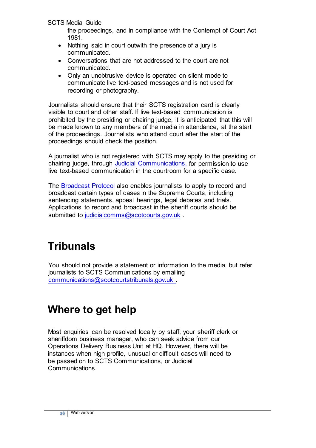SCTS Media Guide

the proceedings, and in compliance with the Contempt of Court Act 1981.

- Nothing said in court outwith the presence of a jury is communicated.
- Conversations that are not addressed to the court are not communicated.
- Only an unobtrusive device is operated on silent mode to communicate live text-based messages and is not used for recording or photography.

Journalists should ensure that their SCTS registration card is clearly visible to court and other staff. If live text-based communication is prohibited by the presiding or chairing judge, it is anticipated that this will be made known to any members of the media in attendance, at the start of the proceedings. Journalists who attend court after the start of the proceedings should check the position.

A journalist who is not registered with SCTS may apply to the presiding or chairing judge, through [Judicial Communications,](mailto:judicialcomms@scotcourts.gov.uk) for permission to use live text-based communication in the courtroom for a specific case.

The [Broadcast Protocol](https://www.judiciary.scot/docs/librariesprovider3/judiciarydocuments/broadcast-protocol/final-for-pdf-broadcast-protocol-031120.pdf?sfvrsn=8533eb7_2) also enables journalists to apply to record and broadcast certain types of cases in the Supreme Courts, including sentencing statements, appeal hearings, legal debates and trials. Applications to record and broadcast in the sheriff courts should be submitted to [judicialcomms@scotcourts.gov.uk](mailto:judicialcomms@scotcourts.gov.uk).

# <span id="page-25-0"></span>**Tribunals**

You should not provide a statement or information to the media, but refer journalists to SCTS Communications by emailing [communications@scotcourtstribunals.gov.uk](mailto:communications@scotcourtstribunals.gov.uk) .

# <span id="page-25-1"></span>**Where to get help**

Most enquiries can be resolved locally by staff, your sheriff clerk or sheriffdom business manager, who can seek advice from our Operations Delivery Business Unit at HQ. However, there will be instances when high profile, unusual or difficult cases will need to be passed on to SCTS Communications, or Judicial Communications.